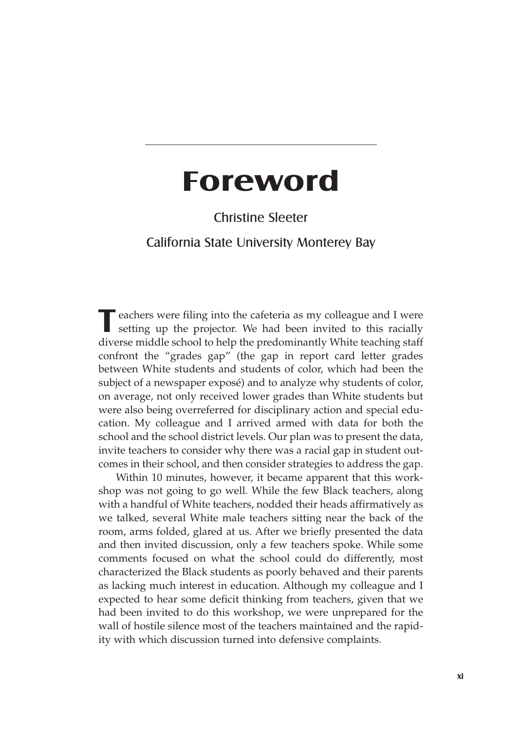## **Foreword**

## Christine Sleeter

## California State University Monterey Bay

**T**eachers were filing into the cafeteria as my colleague and I were setting up the projector. We had been invited to this racially diverse middle school to help the predominantly White teaching staff confront the "grades gap" (the gap in report card letter grades between White students and students of color, which had been the subject of a newspaper exposé) and to analyze why students of color, on average, not only received lower grades than White students but were also being overreferred for disciplinary action and special education. My colleague and I arrived armed with data for both the school and the school district levels. Our plan was to present the data, invite teachers to consider why there was a racial gap in student outcomes in their school, and then consider strategies to address the gap.

Within 10 minutes, however, it became apparent that this workshop was not going to go well. While the few Black teachers, along with a handful of White teachers, nodded their heads affirmatively as we talked, several White male teachers sitting near the back of the room, arms folded, glared at us. After we briefly presented the data and then invited discussion, only a few teachers spoke. While some comments focused on what the school could do differently, most characterized the Black students as poorly behaved and their parents as lacking much interest in education. Although my colleague and I expected to hear some deficit thinking from teachers, given that we had been invited to do this workshop, we were unprepared for the wall of hostile silence most of the teachers maintained and the rapidity with which discussion turned into defensive complaints.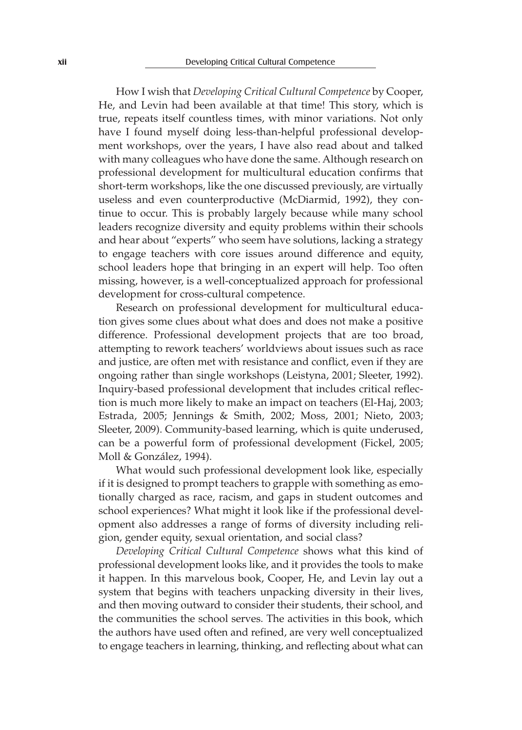How I wish that *Developing Critical Cultural Competence* by Cooper, He, and Levin had been available at that time! This story, which is true, repeats itself countless times, with minor variations. Not only have I found myself doing less-than-helpful professional development workshops, over the years, I have also read about and talked with many colleagues who have done the same. Although research on professional development for multicultural education confirms that short-term workshops, like the one discussed previously, are virtually useless and even counterproductive (McDiarmid, 1992), they continue to occur. This is probably largely because while many school leaders recognize diversity and equity problems within their schools and hear about "experts" who seem have solutions, lacking a strategy to engage teachers with core issues around difference and equity, school leaders hope that bringing in an expert will help. Too often missing, however, is a well-conceptualized approach for professional development for cross-cultural competence.

Research on professional development for multicultural education gives some clues about what does and does not make a positive difference. Professional development projects that are too broad, attempting to rework teachers' worldviews about issues such as race and justice, are often met with resistance and conflict, even if they are ongoing rather than single workshops (Leistyna, 2001; Sleeter, 1992). Inquiry-based professional development that includes critical reflection is much more likely to make an impact on teachers (El-Haj, 2003; Estrada, 2005; Jennings & Smith, 2002; Moss, 2001; Nieto, 2003; Sleeter, 2009). Community-based learning, which is quite underused, can be a powerful form of professional development (Fickel, 2005; Moll & González, 1994).

What would such professional development look like, especially if it is designed to prompt teachers to grapple with something as emotionally charged as race, racism, and gaps in student outcomes and school experiences? What might it look like if the professional development also addresses a range of forms of diversity including religion, gender equity, sexual orientation, and social class?

*Developing Critical Cultural Competence* shows what this kind of professional development looks like, and it provides the tools to make it happen. In this marvelous book, Cooper, He, and Levin lay out a system that begins with teachers unpacking diversity in their lives, and then moving outward to consider their students, their school, and the communities the school serves. The activities in this book, which the authors have used often and refined, are very well conceptualized to engage teachers in learning, thinking, and reflecting about what can